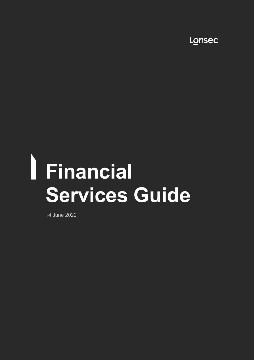Lonsec

# **Financial Services Guide**

14 June 2022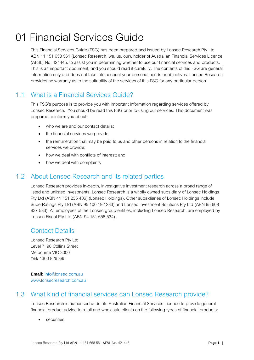# 01 Financial Services Guide

This Financial Services Guide (FSG) has been prepared and issued by Lonsec Research Pty Ltd ABN 11 151 658 561 (Lonsec Research, we, us, our), holder of Australian Financial Services Licence (AFSL) No. 421445, to assist you in determining whether to use our financial services and products. This is an important document, and you should read it carefully. The contents of this FSG are general information only and does not take into account your personal needs or objectives. Lonsec Research provides no warranty as to the suitability of the services of this FSG for any particular person.

## 1.1 What is a Financial Services Guide?

This FSG's purpose is to provide you with important information regarding services offered by Lonsec Research. You should be read this FSG prior to using our services. This document was prepared to inform you about:

- who we are and our contact details:
- the financial services we provide;
- the remuneration that may be paid to us and other persons in relation to the financial services we provide;
- how we deal with conflicts of interest; and
- how we deal with complaints

## 1.2 About Lonsec Research and its related parties

Lonsec Research provides in-depth, investigative investment research across a broad range of listed and unlisted investments. Lonsec Research is a wholly owned subsidiary of Lonsec Holdings Pty Ltd (ABN 41 151 235 406) (Lonsec Holdings). Other subsidiaries of Lonsec Holdings include SuperRatings Pty Ltd (ABN 95 100 192 283) and Lonsec Investment Solutions Pty Ltd (ABN 95 608 837 583). All employees of the Lonsec group entities, including Lonsec Research, are employed by Lonsec Fiscal Pty Ltd (ABN 94 151 658 534).

#### Contact Details

Lonsec Research Pty Ltd Level 7, 90 Collins Street Melbourne VIC 3000 **Tel:** 1300 826 395

**Email:** info@lonsec.com.au www.lonsecresearch.com.au

#### 1.3 What kind of financial services can Lonsec Research provide?

Lonsec Research is authorised under its Australian Financial Services Licence to provide general financial product advice to retail and wholesale clients on the following types of financial products:

• securities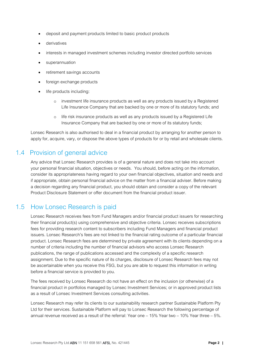- deposit and payment products limited to basic product products
- **derivatives**
- interests in managed investment schemes including investor directed portfolio services
- superannuation
- retirement savings accounts
- foreign exchange products
- life products including:
	- o investment life insurance products as well as any products issued by a Registered Life Insurance Company that are backed by one or more of its statutory funds; and
	- o life risk insurance products as well as any products issued by a Registered Life Insurance Company that are backed by one or more of its statutory funds;

Lonsec Research is also authorised to deal in a financial product by arranging for another person to apply for, acquire, vary, or dispose the above types of products for or by retail and wholesale clients.

#### 1.4 Provision of general advice

Any advice that Lonsec Research provides is of a general nature and does not take into account your personal financial situation, objectives or needs. You should, before acting on the information, consider its appropriateness having regard to your own financial objectives, situation and needs and if appropriate, obtain personal financial advice on the matter from a financial adviser. Before making a decision regarding any financial product, you should obtain and consider a copy of the relevant Product Disclosure Statement or offer document from the financial product issuer.

#### 1.5 How Lonsec Research is paid

Lonsec Research receives fees from Fund Managers and/or financial product issuers for researching their financial product(s) using comprehensive and objective criteria. Lonsec receives subscriptions fees for providing research content to subscribers including Fund Managers and financial product issuers. Lonsec Research's fees are not linked to the financial rating outcome of a particular financial product. Lonsec Research fees are determined by private agreement with its clients depending on a number of criteria including the number of financial advisors who access Lonsec Research publications, the range of publications accessed and the complexity of a specific research assignment. Due to the specific nature of its charges, disclosure of Lonsec Research fees may not be ascertainable when you receive this FSG, but you are able to request this information in writing before a financial service is provided to you.

The fees received by Lonsec Research do not have an effect on the inclusion (or otherwise) of a financial product in portfolios managed by Lonsec Investment Services; or in approved product lists as a result of Lonsec Investment Services consulting activities.

Lonsec Research may refer its clients to our sustainability research partner Sustainable Platform Pty Ltd for their services. Sustainable Platform will pay to Lonsec Research the following percentage of annual revenue received as a result of the referral: Year one – 15% Year two – 10% Year three – 5%.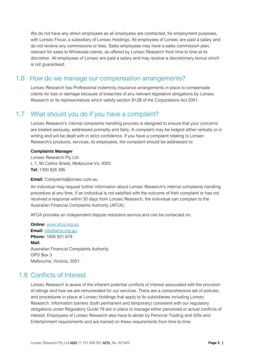We do not have any direct employees as all employees are contracted, for employment purposes, with Lonsec Fiscal, a subsidiary of Lonsec Holdings. All employees of Lonsec are paid a salary and do not receive any commissions or fees. Sales employees may have a sales commission plan, relevant for sales to Wholesale clients, as offered by Lonsec Research from time to time at its discretion. All employees of Lonsec are paid a salary and may receive a discretionary bonus which is not guaranteed.

#### 1.6 How do we manage our compensation arrangements?

Lonsec Research has Professional Indemnity insurance arrangements in place to compensate clients for loss or damage because of breaches of any relevant legislative obligations by Lonsec Research or its representatives which satisfy section 912B of the Corporations Act 2001.

#### 1.7 What should you do if you have a complaint?

Lonsec Research's internal complaints handling process is designed to ensure that your concerns are treated seriously, addressed promptly and fairly. A complaint may be lodged either verbally or in writing and will be dealt with in strict confidence. If you have a complaint relating to Lonsec Research's products, services, its employees, the complaint should be addressed to:

#### **Complaints Manager**

Lonsec Research Pty Ltd L 7, 90 Collins Street, Melbourne Vic 3000 **Tel**: 1300 826 395

#### **Email:** Complaints@lonsec.com.au

An individual may request further information about Lonsec Research's internal complaints handling procedure at any time. If an individual is not satisfied with the outcome of their complaint or has not received a response within 30 days from Lonsec Research, the individual can complain to the Australian Financial Complaints Authority (AFCA).

AFCA provides an independent dispute resolution service and can be contacted on:

**Online:** [www.afca.org.au](http://www.afca.org.au/) **Email:** [info@afca.org.au](mailto:info@afca.org.au) **Phone:** 1800 931 678 **Mail:**  Australian Financial Complaints Authority GPO Box 3 Melbourne, Victoria, 3001.

#### 1.8 Conflicts of Interest

Lonsec Research is aware of the inherent potential conflicts of interest associated with the provision of ratings and how we are remunerated for our services. There are a comprehensive set of policies, and procedures in place at Lonsec Holdings that apply to its subsidiaries including Lonsec Research. Information barriers (both permanent and temporary) consistent with our regulatory obligations under Regulatory Guide 79 are in place to manage either perceived or actual conflicts of interest. Employees of Lonsec Research also have to abide by Personal Trading and Gifts and Entertainment requirements and are trained on these requirements from time to time.